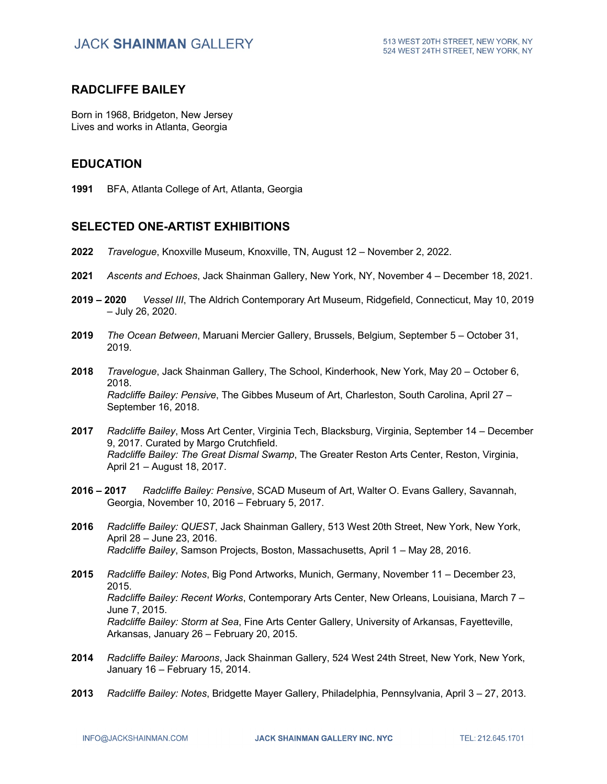#### **RADCLIFFE BAILEY**

Born in 1968, Bridgeton, New Jersey Lives and works in Atlanta, Georgia

### **EDUCATION**

**1991** BFA, Atlanta College of Art, Atlanta, Georgia

### **SELECTED ONE-ARTIST EXHIBITIONS**

- **2022** *Travelogue*, Knoxville Museum, Knoxville, TN, August 12 November 2, 2022.
- **2021** *Ascents and Echoes*, Jack Shainman Gallery, New York, NY, November 4 December 18, 2021.
- **2019 – 2020** *Vessel III*, The Aldrich Contemporary Art Museum, Ridgefield, Connecticut, May 10, 2019 – July 26, 2020.
- **2019** *The Ocean Between*, Maruani Mercier Gallery, Brussels, Belgium, September 5 October 31, 2019.
- **2018** *Travelogue*, Jack Shainman Gallery, The School, Kinderhook, New York, May 20 October 6, 2018. *Radcliffe Bailey: Pensive*, The Gibbes Museum of Art, Charleston, South Carolina, April 27 – September 16, 2018.
- **2017** *Radcliffe Bailey*, Moss Art Center, Virginia Tech, Blacksburg, Virginia, September 14 December 9, 2017. Curated by Margo Crutchfield. *Radcliffe Bailey: The Great Dismal Swamp*, The Greater Reston Arts Center, Reston, Virginia, April 21 – August 18, 2017.
- **2016 – 2017** *Radcliffe Bailey: Pensive*, SCAD Museum of Art, Walter O. Evans Gallery, Savannah, Georgia, November 10, 2016 – February 5, 2017.
- **2016** *Radcliffe Bailey: QUEST*, Jack Shainman Gallery, 513 West 20th Street, New York, New York, April 28 – June 23, 2016. *Radcliffe Bailey*, Samson Projects, Boston, Massachusetts, April 1 – May 28, 2016.
- **2015** *Radcliffe Bailey: Notes*, Big Pond Artworks, Munich, Germany, November 11 December 23, 2015. *Radcliffe Bailey: Recent Works*, Contemporary Arts Center, New Orleans, Louisiana, March 7 – June 7, 2015. *Radcliffe Bailey: Storm at Sea*, Fine Arts Center Gallery, University of Arkansas, Fayetteville, Arkansas, January 26 – February 20, 2015.
- **2014** *Radcliffe Bailey: Maroons*, Jack Shainman Gallery, 524 West 24th Street, New York, New York, January 16 – February 15, 2014.
- **2013** *Radcliffe Bailey: Notes*, Bridgette Mayer Gallery, Philadelphia, Pennsylvania, April 3 27, 2013.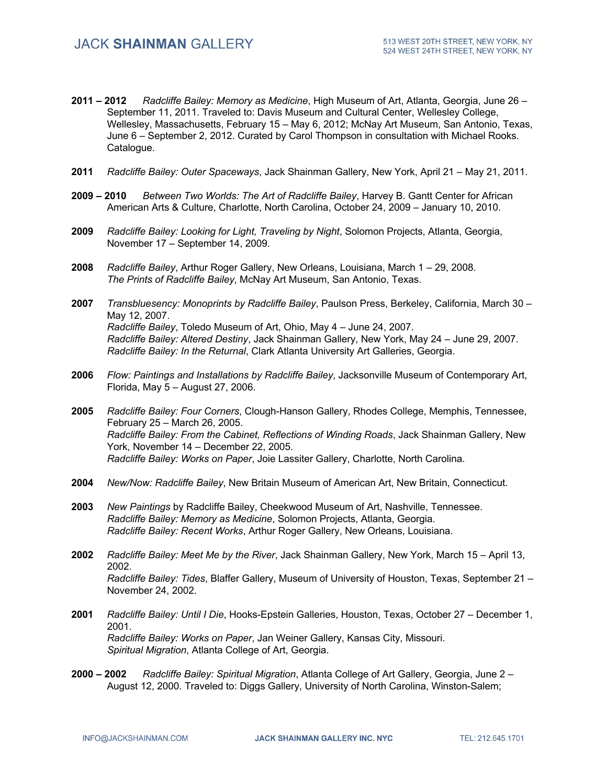- **2011 – 2012** *Radcliffe Bailey: Memory as Medicine*, High Museum of Art, Atlanta, Georgia, June 26 September 11, 2011. Traveled to: Davis Museum and Cultural Center, Wellesley College, Wellesley, Massachusetts, February 15 – May 6, 2012; McNay Art Museum, San Antonio, Texas, June 6 – September 2, 2012. Curated by Carol Thompson in consultation with Michael Rooks. Catalogue.
- **2011** *Radcliffe Bailey: Outer Spaceways*, Jack Shainman Gallery, New York, April 21 May 21, 2011.
- **2009 – 2010** *Between Two Worlds: The Art of Radcliffe Bailey*, Harvey B. Gantt Center for African American Arts & Culture, Charlotte, North Carolina, October 24, 2009 – January 10, 2010.
- **2009** *Radcliffe Bailey: Looking for Light, Traveling by Night*, Solomon Projects, Atlanta, Georgia, November 17 – September 14, 2009.
- **2008** *Radcliffe Bailey*, Arthur Roger Gallery, New Orleans, Louisiana, March 1 29, 2008. *The Prints of Radcliffe Bailey*, McNay Art Museum, San Antonio, Texas.
- **2007** *Transbluesency: Monoprints by Radcliffe Bailey*, Paulson Press, Berkeley, California, March 30 May 12, 2007. *Radcliffe Bailey*, Toledo Museum of Art, Ohio, May 4 – June 24, 2007. *Radcliffe Bailey: Altered Destiny*, Jack Shainman Gallery, New York, May 24 – June 29, 2007. *Radcliffe Bailey: In the Returnal*, Clark Atlanta University Art Galleries, Georgia.
- **2006** *Flow: Paintings and Installations by Radcliffe Bailey*, Jacksonville Museum of Contemporary Art, Florida, May 5 – August 27, 2006.

**2005** *Radcliffe Bailey: Four Corners*, Clough-Hanson Gallery, Rhodes College, Memphis, Tennessee, February 25 – March 26, 2005. *Radcliffe Bailey: From the Cabinet, Reflections of Winding Roads*, Jack Shainman Gallery, New York, November 14 – December 22, 2005. *Radcliffe Bailey: Works on Paper*, Joie Lassiter Gallery, Charlotte, North Carolina.

- **2004** *New/Now: Radcliffe Bailey*, New Britain Museum of American Art, New Britain, Connecticut.
- **2003** *New Paintings* by Radcliffe Bailey, Cheekwood Museum of Art, Nashville, Tennessee. *Radcliffe Bailey: Memory as Medicine*, Solomon Projects, Atlanta, Georgia. *Radcliffe Bailey: Recent Works*, Arthur Roger Gallery, New Orleans, Louisiana.
- **2002** *Radcliffe Bailey: Meet Me by the River*, Jack Shainman Gallery, New York, March 15 April 13, 2002. *Radcliffe Bailey: Tides*, Blaffer Gallery, Museum of University of Houston, Texas, September 21 – November 24, 2002.
- **2001** *Radcliffe Bailey: Until I Die*, Hooks-Epstein Galleries, Houston, Texas, October 27 December 1, 2001. *Radcliffe Bailey: Works on Paper*, Jan Weiner Gallery, Kansas City, Missouri. *Spiritual Migration*, Atlanta College of Art, Georgia.
- **2000 – 2002** *Radcliffe Bailey: Spiritual Migration*, Atlanta College of Art Gallery, Georgia, June 2 August 12, 2000. Traveled to: Diggs Gallery, University of North Carolina, Winston-Salem;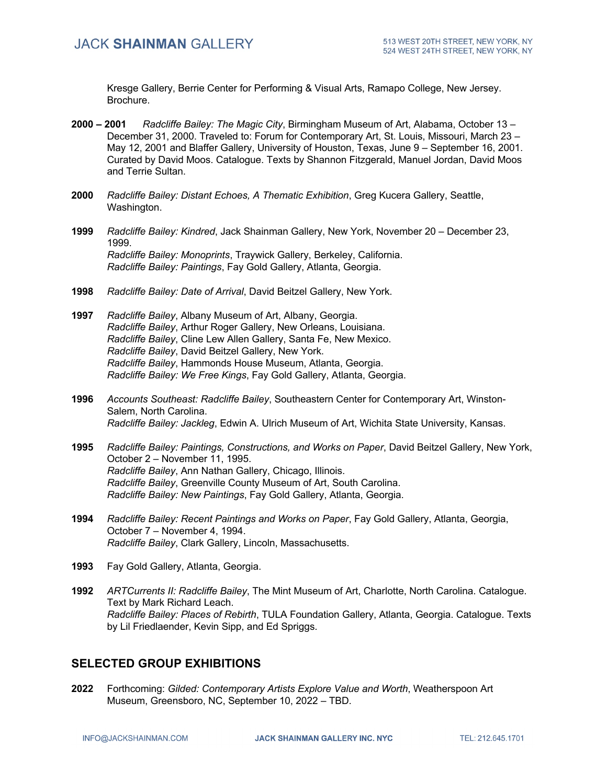Kresge Gallery, Berrie Center for Performing & Visual Arts, Ramapo College, New Jersey. Brochure.

- **2000 – 2001** *Radcliffe Bailey: The Magic City*, Birmingham Museum of Art, Alabama, October 13 December 31, 2000. Traveled to: Forum for Contemporary Art, St. Louis, Missouri, March 23 – May 12, 2001 and Blaffer Gallery, University of Houston, Texas, June 9 – September 16, 2001. Curated by David Moos. Catalogue. Texts by Shannon Fitzgerald, Manuel Jordan, David Moos and Terrie Sultan.
- **2000** *Radcliffe Bailey: Distant Echoes, A Thematic Exhibition*, Greg Kucera Gallery, Seattle, Washington.
- **1999** *Radcliffe Bailey: Kindred*, Jack Shainman Gallery, New York, November 20 December 23, 1999. *Radcliffe Bailey: Monoprints*, Traywick Gallery, Berkeley, California. *Radcliffe Bailey: Paintings*, Fay Gold Gallery, Atlanta, Georgia.
- **1998** *Radcliffe Bailey: Date of Arrival*, David Beitzel Gallery, New York.
- **1997** *Radcliffe Bailey*, Albany Museum of Art, Albany, Georgia. *Radcliffe Bailey*, Arthur Roger Gallery, New Orleans, Louisiana. *Radcliffe Bailey*, Cline Lew Allen Gallery, Santa Fe, New Mexico. *Radcliffe Bailey*, David Beitzel Gallery, New York. *Radcliffe Bailey*, Hammonds House Museum, Atlanta, Georgia. *Radcliffe Bailey: We Free Kings*, Fay Gold Gallery, Atlanta, Georgia.
- **1996** *Accounts Southeast: Radcliffe Bailey*, Southeastern Center for Contemporary Art, Winston-Salem, North Carolina. *Radcliffe Bailey: Jackleg*, Edwin A. Ulrich Museum of Art, Wichita State University, Kansas.
- **1995** *Radcliffe Bailey: Paintings, Constructions, and Works on Paper*, David Beitzel Gallery, New York, October 2 – November 11, 1995. *Radcliffe Bailey*, Ann Nathan Gallery, Chicago, Illinois. *Radcliffe Bailey*, Greenville County Museum of Art, South Carolina. *Radcliffe Bailey: New Paintings*, Fay Gold Gallery, Atlanta, Georgia.
- **1994** *Radcliffe Bailey: Recent Paintings and Works on Paper*, Fay Gold Gallery, Atlanta, Georgia, October 7 – November 4, 1994. *Radcliffe Bailey*, Clark Gallery, Lincoln, Massachusetts.
- **1993** Fay Gold Gallery, Atlanta, Georgia.
- **1992** *ARTCurrents II: Radcliffe Bailey*, The Mint Museum of Art, Charlotte, North Carolina. Catalogue. Text by Mark Richard Leach. *Radcliffe Bailey: Places of Rebirth*, TULA Foundation Gallery, Atlanta, Georgia. Catalogue. Texts by Lil Friedlaender, Kevin Sipp, and Ed Spriggs.

# **SELECTED GROUP EXHIBITIONS**

**2022** Forthcoming: *Gilded: Contemporary Artists Explore Value and Worth*, Weatherspoon Art Museum, Greensboro, NC, September 10, 2022 – TBD.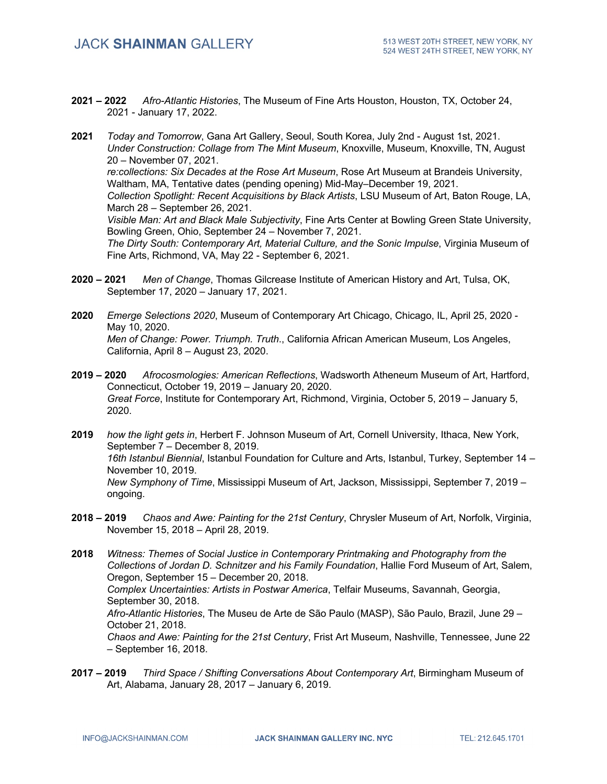**2021 – 2022** *Afro-Atlantic Histories*, The Museum of Fine Arts Houston, Houston, TX, October 24, 2021 - January 17, 2022.

**2021** *Today and Tomorrow*, Gana Art Gallery, Seoul, South Korea, July 2nd - August 1st, 2021. *Under Construction: Collage from The Mint Museum*, Knoxville, Museum, Knoxville, TN, August 20 – November 07, 2021. *re:collections: Six Decades at the Rose Art Museum*, Rose Art Museum at Brandeis University, Waltham, MA, Tentative dates (pending opening) Mid-May–December 19, 2021. *Collection Spotlight: Recent Acquisitions by Black Artists*, LSU Museum of Art, Baton Rouge, LA, March 28 – September 26, 2021. *Visible Man: Art and Black Male Subjectivity*, Fine Arts Center at Bowling Green State University, Bowling Green, Ohio, September 24 – November 7, 2021. *The Dirty South: Contemporary Art, Material Culture, and the Sonic Impulse*, Virginia Museum of Fine Arts, Richmond, VA, May 22 - September 6, 2021.

- **2020 – 2021** *Men of Change*, Thomas Gilcrease Institute of American History and Art, Tulsa, OK, September 17, 2020 – January 17, 2021.
- **2020** *Emerge Selections 2020*, Museum of Contemporary Art Chicago, Chicago, IL, April 25, 2020 May 10, 2020. *Men of Change: Power. Triumph. Truth*., California African American Museum, Los Angeles, California, April 8 – August 23, 2020.
- **2019 – 2020** *Afrocosmologies: American Reflections*, Wadsworth Atheneum Museum of Art, Hartford, Connecticut, October 19, 2019 – January 20, 2020. *Great Force*, Institute for Contemporary Art, Richmond, Virginia, October 5, 2019 – January 5, 2020.
- **2019** *how the light gets in*, Herbert F. Johnson Museum of Art, Cornell University, Ithaca, New York, September 7 – December 8, 2019. *16th Istanbul Biennial*, Istanbul Foundation for Culture and Arts, Istanbul, Turkey, September 14 – November 10, 2019. *New Symphony of Time*, Mississippi Museum of Art, Jackson, Mississippi, September 7, 2019 – ongoing.
- **2018 – 2019** *Chaos and Awe: Painting for the 21st Century*, Chrysler Museum of Art, Norfolk, Virginia, November 15, 2018 – April 28, 2019.
- **2018** *Witness: Themes of Social Justice in Contemporary Printmaking and Photography from the Collections of Jordan D. Schnitzer and his Family Foundation*, Hallie Ford Museum of Art, Salem, Oregon, September 15 – December 20, 2018. *Complex Uncertainties: Artists in Postwar America*, Telfair Museums, Savannah, Georgia, September 30, 2018. *Afro-Atlantic Histories*, The Museu de Arte de São Paulo (MASP), São Paulo, Brazil, June 29 – October 21, 2018. *Chaos and Awe: Painting for the 21st Century*, Frist Art Museum, Nashville, Tennessee, June 22 – September 16, 2018.
- **2017 – 2019** *Third Space / Shifting Conversations About Contemporary Art*, Birmingham Museum of Art, Alabama, January 28, 2017 – January 6, 2019.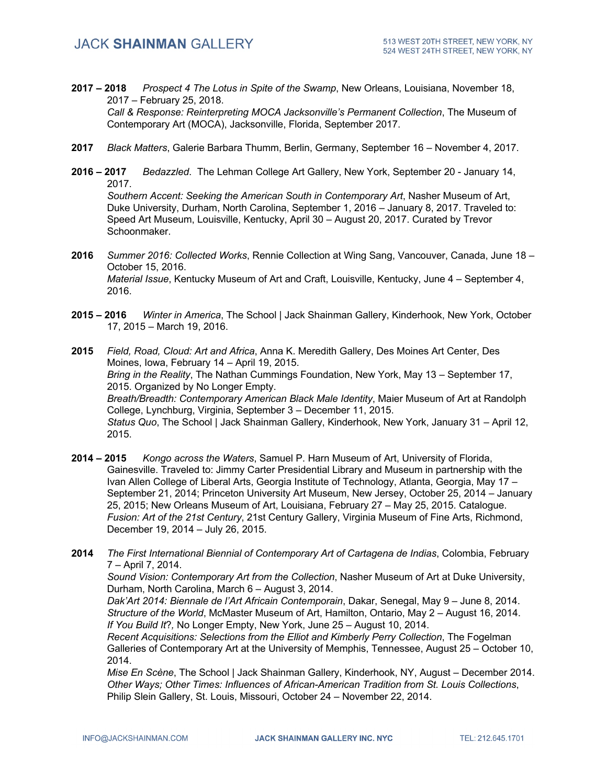**2017 – 2018** *Prospect 4 The Lotus in Spite of the Swamp*, New Orleans, Louisiana, November 18, 2017 – February 25, 2018.

*Call & Response: Reinterpreting MOCA Jacksonville's Permanent Collection*, The Museum of Contemporary Art (MOCA), Jacksonville, Florida, September 2017.

- **2017** *Black Matters*, Galerie Barbara Thumm, Berlin, Germany, September 16 November 4, 2017.
- **2016 – 2017** *Bedazzled*. The Lehman College Art Gallery, New York, September 20 January 14, 2017.

*Southern Accent: Seeking the American South in Contemporary Art*, Nasher Museum of Art, Duke University, Durham, North Carolina, September 1, 2016 – January 8, 2017. Traveled to: Speed Art Museum, Louisville, Kentucky, April 30 – August 20, 2017. Curated by Trevor Schoonmaker.

- **2016** *Summer 2016: Collected Works*, Rennie Collection at Wing Sang, Vancouver, Canada, June 18 October 15, 2016. *Material Issue*, Kentucky Museum of Art and Craft, Louisville, Kentucky, June 4 – September 4, 2016.
- **2015 – 2016** *Winter in America*, The School | Jack Shainman Gallery, Kinderhook, New York, October 17, 2015 – March 19, 2016.
- **2015** *Field, Road, Cloud: Art and Africa*, Anna K. Meredith Gallery, Des Moines Art Center, Des Moines, Iowa, February 14 – April 19, 2015. *Bring in the Reality*, The Nathan Cummings Foundation, New York, May 13 – September 17, 2015. Organized by No Longer Empty. *Breath/Breadth: Contemporary American Black Male Identity*, Maier Museum of Art at Randolph College, Lynchburg, Virginia, September 3 – December 11, 2015. *Status Quo*, The School | Jack Shainman Gallery, Kinderhook, New York, January 31 – April 12, 2015.
- **2014 – 2015** *Kongo across the Waters*, Samuel P. Harn Museum of Art, University of Florida, Gainesville. Traveled to: Jimmy Carter Presidential Library and Museum in partnership with the Ivan Allen College of Liberal Arts, Georgia Institute of Technology, Atlanta, Georgia, May 17 – September 21, 2014; Princeton University Art Museum, New Jersey, October 25, 2014 – January 25, 2015; New Orleans Museum of Art, Louisiana, February 27 – May 25, 2015. Catalogue. *Fusion: Art of the 21st Century*, 21st Century Gallery, Virginia Museum of Fine Arts, Richmond, December 19, 2014 – July 26, 2015.
- **2014** *The First International Biennial of Contemporary Art of Cartagena de Indias*, Colombia, February 7 – April 7, 2014.

*Sound Vision: Contemporary Art from the Collection*, Nasher Museum of Art at Duke University, Durham, North Carolina, March 6 – August 3, 2014.

*Dak'Art 2014: Biennale de l'Art Africain Contemporain*, Dakar, Senegal, May 9 – June 8, 2014. *Structure of the World*, McMaster Museum of Art, Hamilton, Ontario, May 2 – August 16, 2014. *If You Build It*?*,* No Longer Empty, New York, June 25 – August 10, 2014.

*Recent Acquisitions: Selections from the Elliot and Kimberly Perry Collection*, The Fogelman Galleries of Contemporary Art at the University of Memphis, Tennessee, August 25 – October 10, 2014.

*Mise En Scène*, The School | Jack Shainman Gallery, Kinderhook, NY, August – December 2014. *Other Ways; Other Times: Influences of African-American Tradition from St. Louis Collections*, Philip Slein Gallery, St. Louis, Missouri, October 24 – November 22, 2014.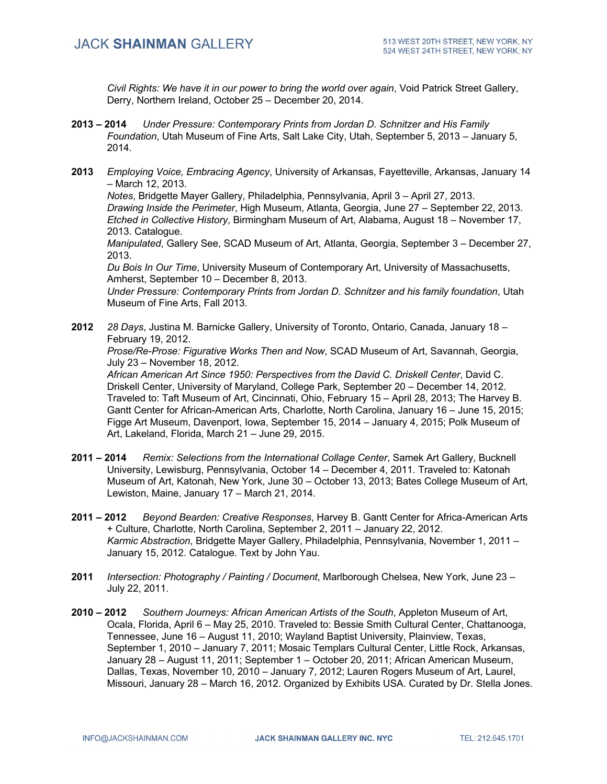*Civil Rights: We have it in our power to bring the world over again*, Void Patrick Street Gallery, Derry, Northern Ireland, October 25 – December 20, 2014.

- **2013 – 2014** *Under Pressure: Contemporary Prints from Jordan D. Schnitzer and His Family Foundation*, Utah Museum of Fine Arts, Salt Lake City, Utah, September 5, 2013 – January 5, 2014.
- **2013** *Employing Voice, Embracing Agency*, University of Arkansas, Fayetteville, Arkansas, January 14 – March 12, 2013.

*Notes*, Bridgette Mayer Gallery, Philadelphia, Pennsylvania, April 3 – April 27, 2013. *Drawing Inside the Perimeter*, High Museum, Atlanta, Georgia, June 27 – September 22, 2013. *Etched in Collective History*, Birmingham Museum of Art, Alabama, August 18 – November 17, 2013. Catalogue.

*Manipulated*, Gallery See, SCAD Museum of Art, Atlanta, Georgia, September 3 – December 27, 2013.

*Du Bois In Our Time*, University Museum of Contemporary Art, University of Massachusetts, Amherst, September 10 – December 8, 2013.

*Under Pressure: Contemporary Prints from Jordan D. Schnitzer and his family foundation*, Utah Museum of Fine Arts, Fall 2013.

**2012** *28 Days*, Justina M. Barnicke Gallery, University of Toronto, Ontario, Canada, January 18 – February 19, 2012.

*Prose/Re-Prose: Figurative Works Then and Now*, SCAD Museum of Art, Savannah, Georgia, July 23 – November 18, 2012.

*African American Art Since 1950: Perspectives from the David C. Driskell Center*, David C. Driskell Center, University of Maryland, College Park, September 20 – December 14, 2012. Traveled to: Taft Museum of Art, Cincinnati, Ohio, February 15 – April 28, 2013; The Harvey B. Gantt Center for African-American Arts, Charlotte, North Carolina, January 16 – June 15, 2015; Figge Art Museum, Davenport, Iowa, September 15, 2014 – January 4, 2015; Polk Museum of Art, Lakeland, Florida, March 21 – June 29, 2015.

- **2011 – 2014** *Remix: Selections from the International Collage Center*, Samek Art Gallery, Bucknell University, Lewisburg, Pennsylvania, October 14 – December 4, 2011. Traveled to: Katonah Museum of Art, Katonah, New York, June 30 – October 13, 2013; Bates College Museum of Art, Lewiston, Maine, January 17 – March 21, 2014.
- **2011 – 2012** *Beyond Bearden: Creative Responses*, Harvey B. Gantt Center for Africa-American Arts + Culture, Charlotte, North Carolina, September 2, 2011 – January 22, 2012. *Karmic Abstraction*, Bridgette Mayer Gallery, Philadelphia, Pennsylvania, November 1, 2011 – January 15, 2012. Catalogue. Text by John Yau.
- **2011** *Intersection: Photography / Painting / Document*, Marlborough Chelsea, New York, June 23 July 22, 2011.
- **2010 – 2012** *Southern Journeys: African American Artists of the South*, Appleton Museum of Art, Ocala, Florida, April 6 – May 25, 2010. Traveled to: Bessie Smith Cultural Center, Chattanooga, Tennessee, June 16 – August 11, 2010; Wayland Baptist University, Plainview, Texas, September 1, 2010 – January 7, 2011; Mosaic Templars Cultural Center, Little Rock, Arkansas, January 28 – August 11, 2011; September 1 – October 20, 2011; African American Museum, Dallas, Texas, November 10, 2010 – January 7, 2012; Lauren Rogers Museum of Art, Laurel, Missouri, January 28 – March 16, 2012. Organized by Exhibits USA. Curated by Dr. Stella Jones.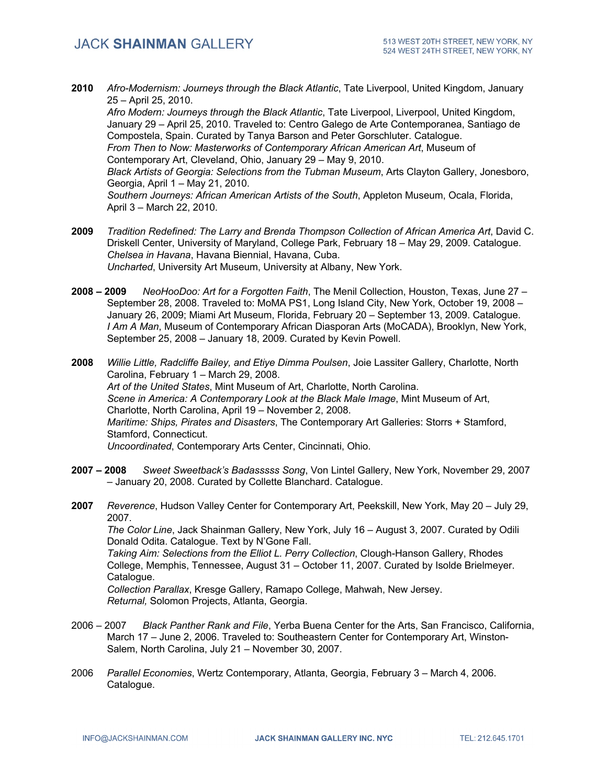**2010** *Afro-Modernism: Journeys through the Black Atlantic*, Tate Liverpool, United Kingdom, January 25 – April 25, 2010.

*Afro Modern: Journeys through the Black Atlantic*, Tate Liverpool, Liverpool, United Kingdom, January 29 – April 25, 2010. Traveled to: Centro Galego de Arte Contemporanea, Santiago de Compostela, Spain. Curated by Tanya Barson and Peter Gorschluter. Catalogue. *From Then to Now: Masterworks of Contemporary African American Art*, Museum of Contemporary Art, Cleveland, Ohio, January 29 – May 9, 2010. *Black Artists of Georgia: Selections from the Tubman Museum*, Arts Clayton Gallery, Jonesboro, Georgia, April 1 – May 21, 2010. *Southern Journeys: African American Artists of the South*, Appleton Museum, Ocala, Florida,

April 3 – March 22, 2010.

- **2009** *Tradition Redefined: The Larry and Brenda Thompson Collection of African America Art*, David C. Driskell Center, University of Maryland, College Park, February 18 – May 29, 2009. Catalogue. *Chelsea in Havana*, Havana Biennial, Havana, Cuba. *Uncharted*, University Art Museum, University at Albany, New York.
- **2008 – 2009** *NeoHooDoo: Art for a Forgotten Faith*, The Menil Collection, Houston, Texas, June 27 September 28, 2008. Traveled to: MoMA PS1, Long Island City, New York, October 19, 2008 – January 26, 2009; Miami Art Museum, Florida, February 20 – September 13, 2009. Catalogue. *I Am A Man*, Museum of Contemporary African Diasporan Arts (MoCADA), Brooklyn, New York, September 25, 2008 – January 18, 2009. Curated by Kevin Powell.
- **2008** *Willie Little, Radcliffe Bailey, and Etiye Dimma Poulsen*, Joie Lassiter Gallery, Charlotte, North Carolina, February 1 – March 29, 2008. *Art of the United States*, Mint Museum of Art, Charlotte, North Carolina. *Scene in America: A Contemporary Look at the Black Male Image*, Mint Museum of Art, Charlotte, North Carolina, April 19 – November 2, 2008. *Maritime: Ships, Pirates and Disasters*, The Contemporary Art Galleries: Storrs + Stamford, Stamford, Connecticut. *Uncoordinated*, Contemporary Arts Center, Cincinnati, Ohio.
- **2007 – 2008** *Sweet Sweetback's Badasssss Song*, Von Lintel Gallery, New York, November 29, 2007 – January 20, 2008. Curated by Collette Blanchard. Catalogue.
- **2007** *Reverence*, Hudson Valley Center for Contemporary Art, Peekskill, New York, May 20 July 29, 2007. *The Color Line*, Jack Shainman Gallery, New York, July 16 – August 3, 2007. Curated by Odili Donald Odita. Catalogue. Text by N'Gone Fall. *Taking Aim: Selections from the Elliot L. Perry Collection*, Clough-Hanson Gallery, Rhodes College, Memphis, Tennessee, August 31 – October 11, 2007. Curated by Isolde Brielmeyer. Catalogue. *Collection Parallax*, Kresge Gallery, Ramapo College, Mahwah, New Jersey. *Returnal,* Solomon Projects, Atlanta, Georgia.
- 2006 2007 *Black Panther Rank and File*, Yerba Buena Center for the Arts, San Francisco, California, March 17 – June 2, 2006. Traveled to: Southeastern Center for Contemporary Art, Winston-Salem, North Carolina, July 21 – November 30, 2007.
- 2006 *Parallel Economies*, Wertz Contemporary, Atlanta, Georgia, February 3 March 4, 2006. Catalogue.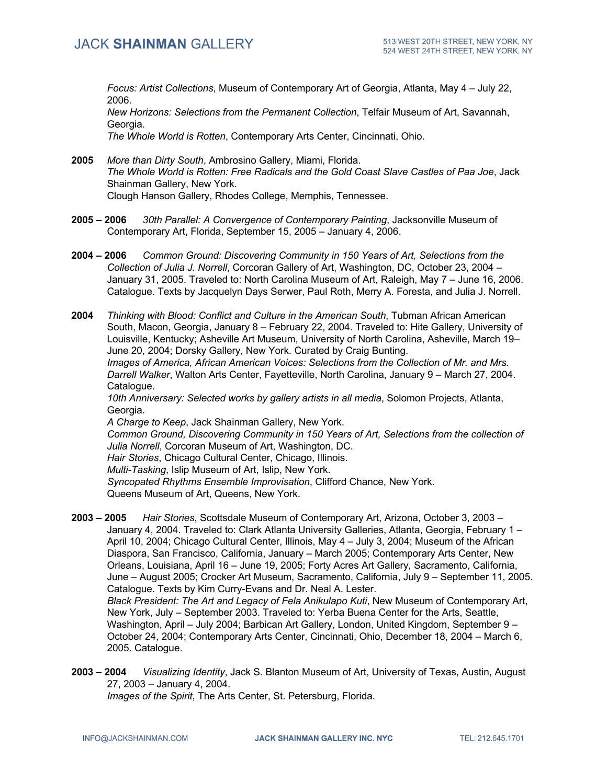*Focus: Artist Collections*, Museum of Contemporary Art of Georgia, Atlanta, May 4 – July 22, 2006.

*New Horizons: Selections from the Permanent Collection*, Telfair Museum of Art, Savannah, Georgia.

*The Whole World is Rotten*, Contemporary Arts Center, Cincinnati, Ohio.

- **2005** *More than Dirty South*, Ambrosino Gallery, Miami, Florida. *The Whole World is Rotten: Free Radicals and the Gold Coast Slave Castles of Paa Joe*, Jack Shainman Gallery, New York. Clough Hanson Gallery, Rhodes College, Memphis, Tennessee.
- **2005 – 2006** *30th Parallel: A Convergence of Contemporary Painting*, Jacksonville Museum of Contemporary Art, Florida, September 15, 2005 – January 4, 2006.
- **2004 – 2006** *Common Ground: Discovering Community in 150 Years of Art, Selections from the Collection of Julia J. Norrell*, Corcoran Gallery of Art, Washington, DC, October 23, 2004 – January 31, 2005. Traveled to: North Carolina Museum of Art, Raleigh, May 7 – June 16, 2006. Catalogue. Texts by Jacquelyn Days Serwer, Paul Roth, Merry A. Foresta, and Julia J. Norrell.

**2004** *Thinking with Blood: Conflict and Culture in the American South*, Tubman African American South, Macon, Georgia, January 8 – February 22, 2004. Traveled to: Hite Gallery, University of Louisville, Kentucky; Asheville Art Museum, University of North Carolina, Asheville, March 19– June 20, 2004; Dorsky Gallery, New York. Curated by Craig Bunting. *Images of America, African American Voices: Selections from the Collection of Mr. and Mrs. Darrell Walker*, Walton Arts Center, Fayetteville, North Carolina, January 9 – March 27, 2004. Catalogue. *10th Anniversary: Selected works by gallery artists in all media*, Solomon Projects, Atlanta, Georgia. *A Charge to Keep*, Jack Shainman Gallery, New York. *Common Ground, Discovering Community in 150 Years of Art, Selections from the collection of Julia Norrell*, Corcoran Museum of Art, Washington, DC. *Hair Stories*, Chicago Cultural Center, Chicago, Illinois. *Multi-Tasking*, Islip Museum of Art, Islip, New York. *Syncopated Rhythms Ensemble Improvisation*, Clifford Chance, New York.

Queens Museum of Art, Queens, New York.

**2003 – 2005** *Hair Stories*, Scottsdale Museum of Contemporary Art, Arizona, October 3, 2003 – January 4, 2004. Traveled to: Clark Atlanta University Galleries, Atlanta, Georgia, February 1 – April 10, 2004; Chicago Cultural Center, Illinois, May 4 – July 3, 2004; Museum of the African Diaspora, San Francisco, California, January – March 2005; Contemporary Arts Center, New Orleans, Louisiana, April 16 – June 19, 2005; Forty Acres Art Gallery, Sacramento, California, June – August 2005; Crocker Art Museum, Sacramento, California, July 9 – September 11, 2005. Catalogue. Texts by Kim Curry-Evans and Dr. Neal A. Lester. *Black President: The Art and Legacy of Fela Anikulapo Kuti*, New Museum of Contemporary Art, New York, July – September 2003. Traveled to: Yerba Buena Center for the Arts, Seattle, Washington, April – July 2004; Barbican Art Gallery, London, United Kingdom, September 9 –

October 24, 2004; Contemporary Arts Center, Cincinnati, Ohio, December 18, 2004 – March 6, 2005. Catalogue.

**2003 – 2004** *Visualizing Identity*, Jack S. Blanton Museum of Art, University of Texas, Austin, August 27, 2003 – January 4, 2004.

*Images of the Spirit*, The Arts Center, St. Petersburg, Florida.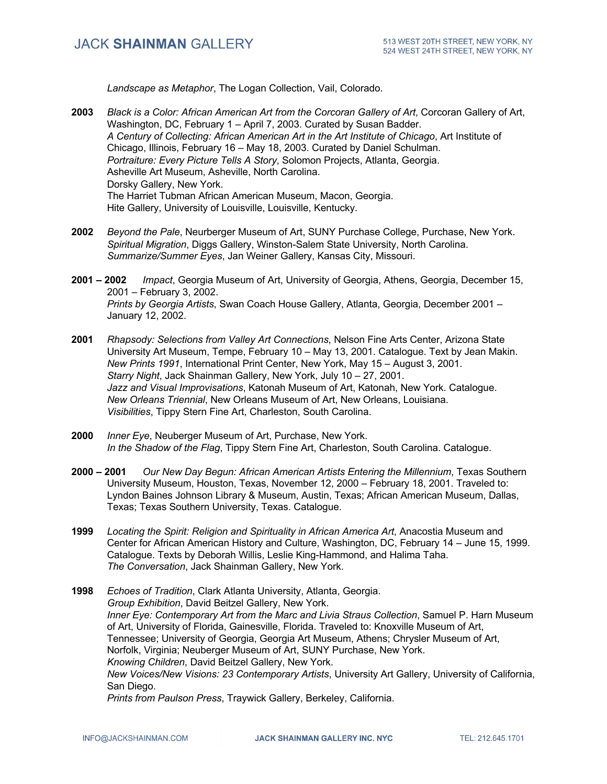*Landscape as Metaphor*, The Logan Collection, Vail, Colorado.

- **2003** *Black is a Color: African American Art from the Corcoran Gallery of Art*, Corcoran Gallery of Art, Washington, DC, February 1 – April 7, 2003. Curated by Susan Badder. *A Century of Collecting: African American Art in the Art Institute of Chicago*, Art Institute of Chicago, Illinois, February 16 – May 18, 2003. Curated by Daniel Schulman. *Portraiture: Every Picture Tells A Story*, Solomon Projects, Atlanta, Georgia. Asheville Art Museum, Asheville, North Carolina. Dorsky Gallery, New York. The Harriet Tubman African American Museum, Macon, Georgia. Hite Gallery, University of Louisville, Louisville, Kentucky.
- **2002** *Beyond the Pale*, Neurberger Museum of Art, SUNY Purchase College, Purchase, New York. *Spiritual Migration*, Diggs Gallery, Winston-Salem State University, North Carolina. *Summarize/Summer Eyes*, Jan Weiner Gallery, Kansas City, Missouri.
- **2001 – 2002** *Impact*, Georgia Museum of Art, University of Georgia, Athens, Georgia, December 15, 2001 – February 3, 2002. *Prints by Georgia Artists*, Swan Coach House Gallery, Atlanta, Georgia, December 2001 – January 12, 2002.
- **2001** *Rhapsody: Selections from Valley Art Connections*, Nelson Fine Arts Center, Arizona State University Art Museum, Tempe, February 10 – May 13, 2001. Catalogue. Text by Jean Makin. *New Prints 1991*, International Print Center, New York, May 15 – August 3, 2001. *Starry Night*, Jack Shainman Gallery, New York, July 10 – 27, 2001. *Jazz and Visual Improvisations*, Katonah Museum of Art, Katonah, New York. Catalogue. *New Orleans Triennial*, New Orleans Museum of Art, New Orleans, Louisiana. *Visibilities*, Tippy Stern Fine Art, Charleston, South Carolina.
- **2000** *Inner Eye*, Neuberger Museum of Art, Purchase, New York. *In the Shadow of the Flag*, Tippy Stern Fine Art, Charleston, South Carolina. Catalogue.
- **2000 – 2001** *Our New Day Begun: African American Artists Entering the Millennium*, Texas Southern University Museum, Houston, Texas, November 12, 2000 – February 18, 2001. Traveled to: Lyndon Baines Johnson Library & Museum, Austin, Texas; African American Museum, Dallas, Texas; Texas Southern University, Texas. Catalogue.
- **1999** *Locating the Spirit: Religion and Spirituality in African America Art*, Anacostia Museum and Center for African American History and Culture, Washington, DC, February 14 – June 15, 1999. Catalogue. Texts by Deborah Willis, Leslie King-Hammond, and Halima Taha. *The Conversation*, Jack Shainman Gallery, New York.
- **1998** *Echoes of Tradition*, Clark Atlanta University, Atlanta, Georgia. *Group Exhibition*, David Beitzel Gallery, New York. *Inner Eye: Contemporary Art from the Marc and Livia Straus Collection*, Samuel P. Harn Museum of Art, University of Florida, Gainesville, Florida. Traveled to: Knoxville Museum of Art, Tennessee; University of Georgia, Georgia Art Museum, Athens; Chrysler Museum of Art, Norfolk, Virginia; Neuberger Museum of Art, SUNY Purchase, New York. *Knowing Children*, David Beitzel Gallery, New York. *New Voices/New Visions: 23 Contemporary Artists*, University Art Gallery, University of California, San Diego. *Prints from Paulson Press*, Traywick Gallery, Berkeley, California.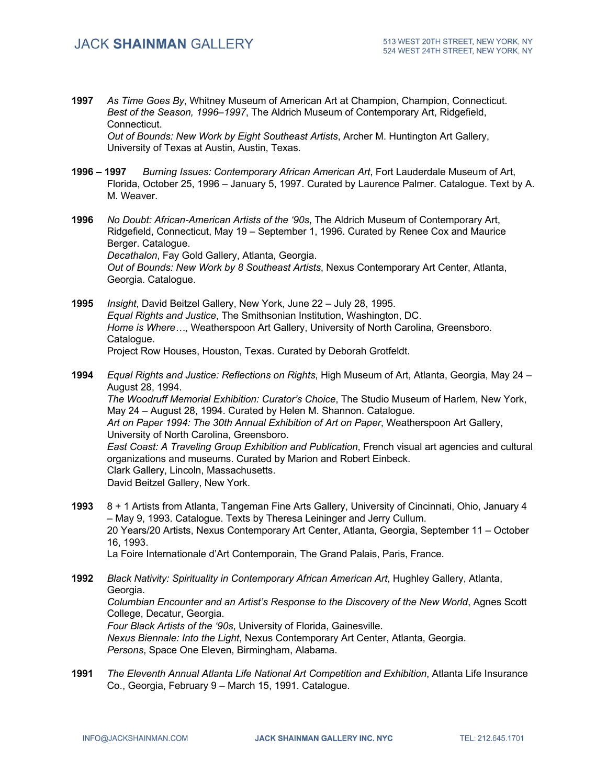**1997** *As Time Goes By*, Whitney Museum of American Art at Champion, Champion, Connecticut. *Best of the Season, 1996–1997*, The Aldrich Museum of Contemporary Art, Ridgefield, Connecticut.

*Out of Bounds: New Work by Eight Southeast Artists*, Archer M. Huntington Art Gallery, University of Texas at Austin, Austin, Texas.

**1996 – 1997** *Burning Issues: Contemporary African American Art*, Fort Lauderdale Museum of Art, Florida, October 25, 1996 – January 5, 1997. Curated by Laurence Palmer. Catalogue. Text by A. M. Weaver.

**1996** *No Doubt: African-American Artists of the '90s*, The Aldrich Museum of Contemporary Art, Ridgefield, Connecticut, May 19 – September 1, 1996. Curated by Renee Cox and Maurice Berger. Catalogue. *Decathalon*, Fay Gold Gallery, Atlanta, Georgia. *Out of Bounds: New Work by 8 Southeast Artists*, Nexus Contemporary Art Center, Atlanta, Georgia. Catalogue.

- **1995** *Insight*, David Beitzel Gallery, New York, June 22 July 28, 1995. *Equal Rights and Justice*, The Smithsonian Institution, Washington, DC. *Home is Where…*, Weatherspoon Art Gallery, University of North Carolina, Greensboro. Catalogue. Project Row Houses, Houston, Texas. Curated by Deborah Grotfeldt.
- **1994** *Equal Rights and Justice: Reflections on Rights*, High Museum of Art, Atlanta, Georgia, May 24 August 28, 1994. *The Woodruff Memorial Exhibition: Curator's Choice*, The Studio Museum of Harlem, New York, May 24 – August 28, 1994. Curated by Helen M. Shannon. Catalogue. *Art on Paper 1994: The 30th Annual Exhibition of Art on Paper*, Weatherspoon Art Gallery, University of North Carolina, Greensboro. *East Coast: A Traveling Group Exhibition and Publication*, French visual art agencies and cultural organizations and museums. Curated by Marion and Robert Einbeck. Clark Gallery, Lincoln, Massachusetts. David Beitzel Gallery, New York.
- **1993** 8 + 1 Artists from Atlanta, Tangeman Fine Arts Gallery, University of Cincinnati, Ohio, January 4 – May 9, 1993. Catalogue. Texts by Theresa Leininger and Jerry Cullum. 20 Years/20 Artists, Nexus Contemporary Art Center, Atlanta, Georgia, September 11 – October 16, 1993.

La Foire Internationale d'Art Contemporain, The Grand Palais, Paris, France.

**1992** *Black Nativity: Spirituality in Contemporary African American Art*, Hughley Gallery, Atlanta, Georgia.

*Columbian Encounter and an Artist's Response to the Discovery of the New World*, Agnes Scott College, Decatur, Georgia.

*Four Black Artists of the '90s*, University of Florida, Gainesville. *Nexus Biennale: Into the Light*, Nexus Contemporary Art Center, Atlanta, Georgia. *Persons*, Space One Eleven, Birmingham, Alabama.

**1991** *The Eleventh Annual Atlanta Life National Art Competition and Exhibition*, Atlanta Life Insurance Co., Georgia, February 9 – March 15, 1991. Catalogue.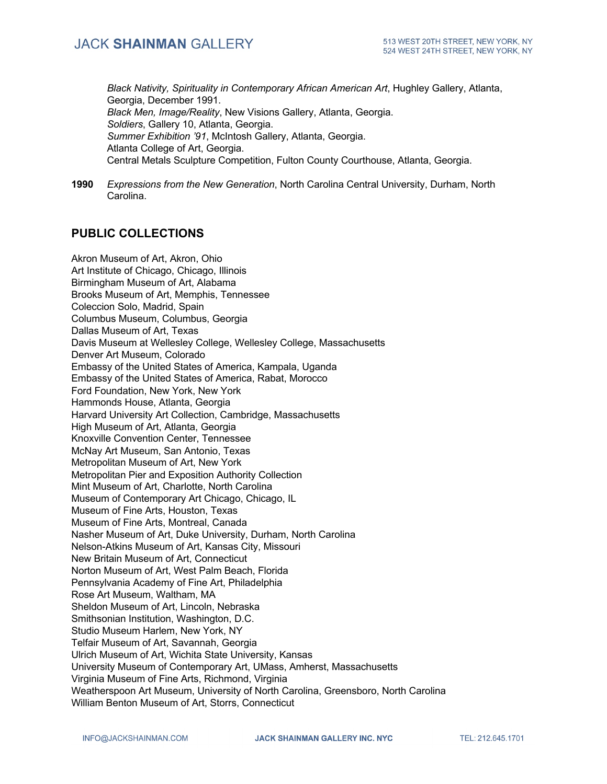*Black Nativity, Spirituality in Contemporary African American Art*, Hughley Gallery, Atlanta, Georgia, December 1991. *Black Men, Image/Reality*, New Visions Gallery, Atlanta, Georgia. *Soldiers*, Gallery 10, Atlanta, Georgia. *Summer Exhibition '91*, McIntosh Gallery, Atlanta, Georgia. Atlanta College of Art, Georgia. Central Metals Sculpture Competition, Fulton County Courthouse, Atlanta, Georgia.

**1990** *Expressions from the New Generation*, North Carolina Central University, Durham, North Carolina.

## **PUBLIC COLLECTIONS**

Akron Museum of Art, Akron, Ohio Art Institute of Chicago, Chicago, Illinois Birmingham Museum of Art, Alabama Brooks Museum of Art, Memphis, Tennessee Coleccion Solo, Madrid, Spain Columbus Museum, Columbus, Georgia Dallas Museum of Art, Texas Davis Museum at Wellesley College, Wellesley College, Massachusetts Denver Art Museum, Colorado Embassy of the United States of America, Kampala, Uganda Embassy of the United States of America, Rabat, Morocco Ford Foundation, New York, New York Hammonds House, Atlanta, Georgia Harvard University Art Collection, Cambridge, Massachusetts High Museum of Art, Atlanta, Georgia Knoxville Convention Center, Tennessee McNay Art Museum, San Antonio, Texas Metropolitan Museum of Art, New York Metropolitan Pier and Exposition Authority Collection Mint Museum of Art, Charlotte, North Carolina Museum of Contemporary Art Chicago, Chicago, IL Museum of Fine Arts, Houston, Texas Museum of Fine Arts, Montreal, Canada Nasher Museum of Art, Duke University, Durham, North Carolina Nelson-Atkins Museum of Art, Kansas City, Missouri New Britain Museum of Art, Connecticut Norton Museum of Art, West Palm Beach, Florida Pennsylvania Academy of Fine Art, Philadelphia Rose Art Museum, Waltham, MA Sheldon Museum of Art, Lincoln, Nebraska Smithsonian Institution, Washington, D.C. Studio Museum Harlem, New York, NY Telfair Museum of Art, Savannah, Georgia Ulrich Museum of Art, Wichita State University, Kansas University Museum of Contemporary Art, UMass, Amherst, Massachusetts Virginia Museum of Fine Arts, Richmond, Virginia Weatherspoon Art Museum, University of North Carolina, Greensboro, North Carolina William Benton Museum of Art, Storrs, Connecticut